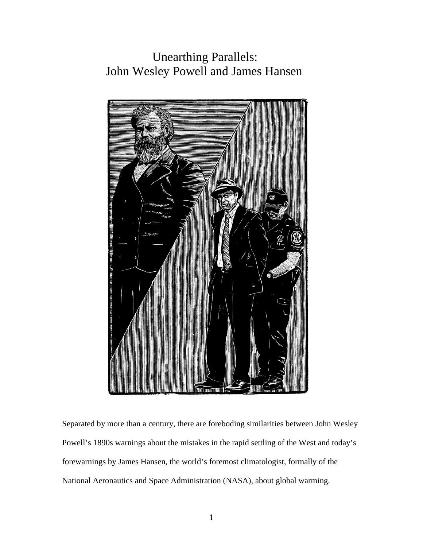## Unearthing Parallels: John Wesley Powell and James Hansen



Separated by more than a century, there are foreboding similarities between John Wesley Powell's 1890s warnings about the mistakes in the rapid settling of the West and today's forewarnings by James Hansen, the world's foremost climatologist, formally of the National Aeronautics and Space Administration (NASA), about global warming.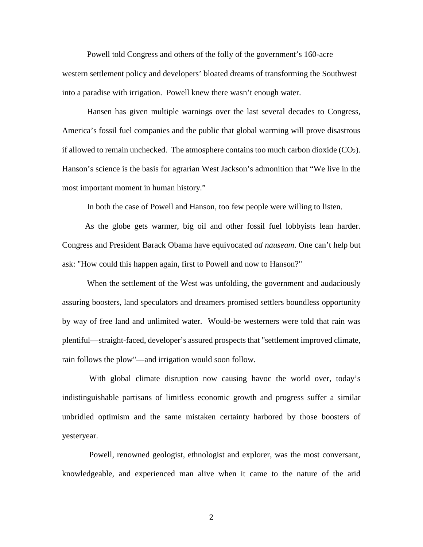Powell told Congress and others of the folly of the government's 160-acre western settlement policy and developers' bloated dreams of transforming the Southwest into a paradise with irrigation. Powell knew there wasn't enough water.

 Hansen has given multiple warnings over the last several decades to Congress, America's fossil fuel companies and the public that global warming will prove disastrous if allowed to remain unchecked. The atmosphere contains too much carbon dioxide  $(CO<sub>2</sub>)$ . Hanson's science is the basis for agrarian West Jackson's admonition that "We live in the most important moment in human history."

In both the case of Powell and Hanson, too few people were willing to listen.

 As the globe gets warmer, big oil and other fossil fuel lobbyists lean harder. Congress and President Barack Obama have equivocated *ad nauseam*. One can't help but ask: "How could this happen again, first to Powell and now to Hanson?"

 When the settlement of the West was unfolding, the government and audaciously assuring boosters, land speculators and dreamers promised settlers boundless opportunity by way of free land and unlimited water. Would-be westerners were told that rain was plentiful—straight-faced, developer's assured prospects that "settlement improved climate, rain follows the plow"—and irrigation would soon follow.

 With global climate disruption now causing havoc the world over, today's indistinguishable partisans of limitless economic growth and progress suffer a similar unbridled optimism and the same mistaken certainty harbored by those boosters of yesteryear.

 Powell, renowned geologist, ethnologist and explorer, was the most conversant, knowledgeable, and experienced man alive when it came to the nature of the arid

2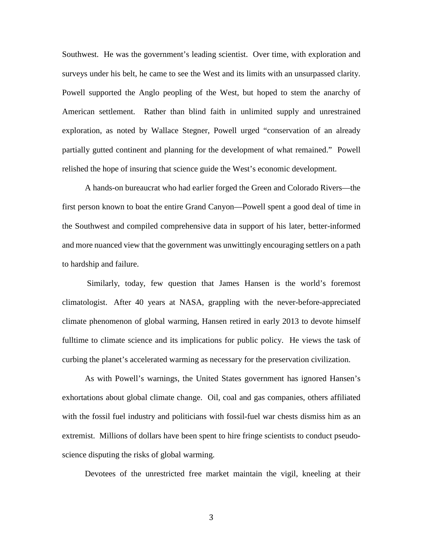Southwest. He was the government's leading scientist. Over time, with exploration and surveys under his belt, he came to see the West and its limits with an unsurpassed clarity. Powell supported the Anglo peopling of the West, but hoped to stem the anarchy of American settlement. Rather than blind faith in unlimited supply and unrestrained exploration, as noted by Wallace Stegner, Powell urged "conservation of an already partially gutted continent and planning for the development of what remained." Powell relished the hope of insuring that science guide the West's economic development.

 A hands-on bureaucrat who had earlier forged the Green and Colorado Rivers—the first person known to boat the entire Grand Canyon—Powell spent a good deal of time in the Southwest and compiled comprehensive data in support of his later, better-informed and more nuanced view that the government was unwittingly encouraging settlers on a path to hardship and failure.

 Similarly, today, few question that James Hansen is the world's foremost climatologist. After 40 years at NASA, grappling with the never-before-appreciated climate phenomenon of global warming, Hansen retired in early 2013 to devote himself fulltime to climate science and its implications for public policy. He views the task of curbing the planet's accelerated warming as necessary for the preservation civilization.

 As with Powell's warnings, the United States government has ignored Hansen's exhortations about global climate change. Oil, coal and gas companies, others affiliated with the fossil fuel industry and politicians with fossil-fuel war chests dismiss him as an extremist. Millions of dollars have been spent to hire fringe scientists to conduct pseudoscience disputing the risks of global warming.

Devotees of the unrestricted free market maintain the vigil, kneeling at their

3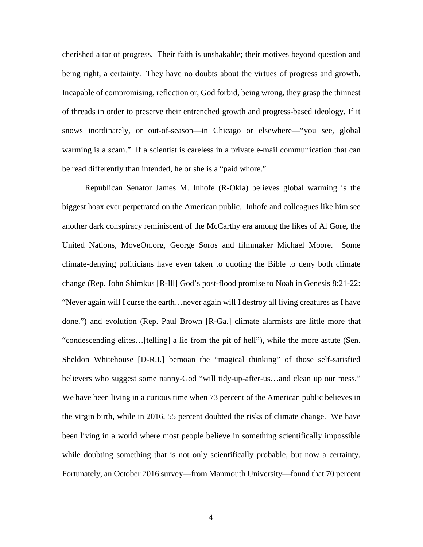cherished altar of progress. Their faith is unshakable; their motives beyond question and being right, a certainty. They have no doubts about the virtues of progress and growth. Incapable of compromising, reflection or, God forbid, being wrong, they grasp the thinnest of threads in order to preserve their entrenched growth and progress-based ideology. If it snows inordinately, or out-of-season—in Chicago or elsewhere—"you see, global warming is a scam." If a scientist is careless in a private e-mail communication that can be read differently than intended, he or she is a "paid whore."

 Republican Senator James M. Inhofe (R-Okla) believes global warming is the biggest hoax ever perpetrated on the American public. Inhofe and colleagues like him see another dark conspiracy reminiscent of the McCarthy era among the likes of Al Gore, the United Nations, MoveOn.org, George Soros and filmmaker Michael Moore. Some climate-denying politicians have even taken to quoting the Bible to deny both climate change (Rep. John Shimkus [R-Ill] God's post-flood promise to Noah in Genesis 8:21-22: "Never again will I curse the earth…never again will I destroy all living creatures as I have done.") and evolution (Rep. Paul Brown [R-Ga.] climate alarmists are little more that "condescending elites…[telling] a lie from the pit of hell"), while the more astute (Sen. Sheldon Whitehouse [D-R.I.] bemoan the "magical thinking" of those self-satisfied believers who suggest some nanny-God "will tidy-up-after-us...and clean up our mess." We have been living in a curious time when 73 percent of the American public believes in the virgin birth, while in 2016, 55 percent doubted the risks of climate change. We have been living in a world where most people believe in something scientifically impossible while doubting something that is not only scientifically probable, but now a certainty. Fortunately, an October 2016 survey—from Manmouth University—found that 70 percent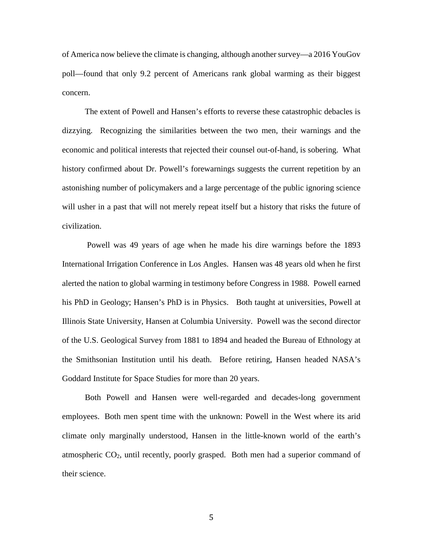of America now believe the climate is changing, although another survey—a 2016 YouGov poll—found that only 9.2 percent of Americans rank global warming as their biggest concern.

 The extent of Powell and Hansen's efforts to reverse these catastrophic debacles is dizzying. Recognizing the similarities between the two men, their warnings and the economic and political interests that rejected their counsel out-of-hand, is sobering. What history confirmed about Dr. Powell's forewarnings suggests the current repetition by an astonishing number of policymakers and a large percentage of the public ignoring science will usher in a past that will not merely repeat itself but a history that risks the future of civilization.

 Powell was 49 years of age when he made his dire warnings before the 1893 International Irrigation Conference in Los Angles. Hansen was 48 years old when he first alerted the nation to global warming in testimony before Congress in 1988. Powell earned his PhD in Geology; Hansen's PhD is in Physics. Both taught at universities, Powell at Illinois State University, Hansen at Columbia University. Powell was the second director of the U.S. Geological Survey from 1881 to 1894 and headed the Bureau of Ethnology at the Smithsonian Institution until his death. Before retiring, Hansen headed NASA's Goddard Institute for Space Studies for more than 20 years.

 Both Powell and Hansen were well-regarded and decades-long government employees. Both men spent time with the unknown: Powell in the West where its arid climate only marginally understood, Hansen in the little-known world of the earth's atmospheric  $CO<sub>2</sub>$ , until recently, poorly grasped. Both men had a superior command of their science.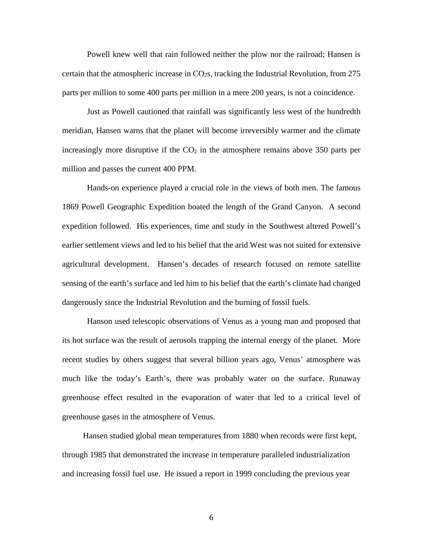Powell knew well that rain followed neither the plow nor the railroad; Hansen is certain that the atmospheric increase in  $CO<sub>2</sub>$ s, tracking the Industrial Revolution, from 275 parts per million to some 400 parts per million in a mere 200 years, is not a coincidence.

 Just as Powell cautioned that rainfall was significantly less west of the hundredth meridian, Hansen warns that the planet will become irreversibly warmer and the climate increasingly more disruptive if the  $CO<sub>2</sub>$  in the atmosphere remains above 350 parts per million and passes the current 400 PPM.

 Hands-on experience played a crucial role in the views of both men. The famous 1869 Powell Geographic Expedition boated the length of the Grand Canyon. A second expedition followed. His experiences, time and study in the Southwest altered Powell's earlier settlement views and led to his belief that the arid West was not suited for extensive agricultural development. Hansen's decades of research focused on remote satellite sensing of the earth's surface and led him to his belief that the earth's climate had changed dangerously since the Industrial Revolution and the burning of fossil fuels.

 Hanson used telescopic observations of Venus as a young man and proposed that its hot surface was the result of aerosols trapping the internal energy of the planet. More recent studies by others suggest that several billion years ago, Venus' atmosphere was much like the today's Earth's, there was probably water on the surface. Runaway greenhouse effect resulted in the evaporation of water that led to a critical level of greenhouse gases in the atmosphere of Venus.

 Hansen studied global mean temperatures from 1880 when records were first kept, through 1985 that demonstrated the increase in temperature paralleled industrialization and increasing fossil fuel use. He issued a report in 1999 concluding the previous year

6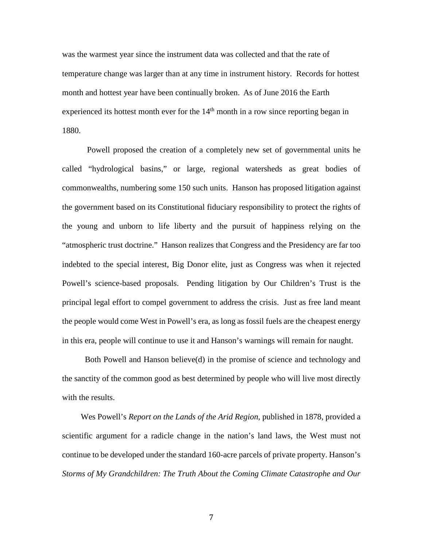was the warmest year since the instrument data was collected and that the rate of temperature change was larger than at any time in instrument history. Records for hottest month and hottest year have been continually broken. As of June 2016 the Earth experienced its hottest month ever for the  $14<sup>th</sup>$  month in a row since reporting began in 1880.

 Powell proposed the creation of a completely new set of governmental units he called "hydrological basins," or large, regional watersheds as great bodies of commonwealths, numbering some 150 such units. Hanson has proposed litigation against the government based on its Constitutional fiduciary responsibility to protect the rights of the young and unborn to life liberty and the pursuit of happiness relying on the "atmospheric trust doctrine." Hanson realizes that Congress and the Presidency are far too indebted to the special interest, Big Donor elite, just as Congress was when it rejected Powell's science-based proposals. Pending litigation by Our Children's Trust is the principal legal effort to compel government to address the crisis. Just as free land meant the people would come West in Powell's era, as long as fossil fuels are the cheapest energy in this era, people will continue to use it and Hanson's warnings will remain for naught.

 Both Powell and Hanson believe(d) in the promise of science and technology and the sanctity of the common good as best determined by people who will live most directly with the results.

 Wes Powell's *Report on the Lands of the Arid Region*, published in 1878, provided a scientific argument for a radicle change in the nation's land laws, the West must not continue to be developed under the standard 160-acre parcels of private property. Hanson's *Storms of My Grandchildren: The Truth About the Coming Climate Catastrophe and Our*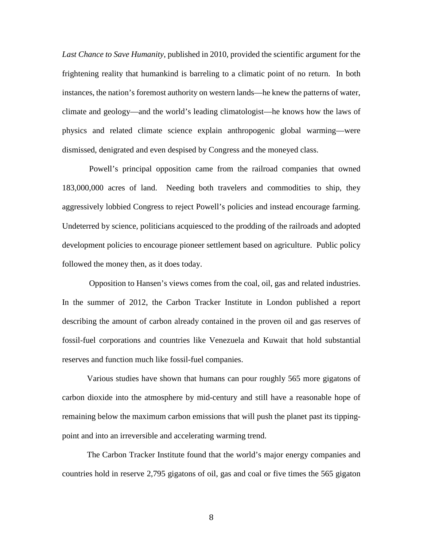*Last Chance to Save Humanity*, published in 2010*,* provided the scientific argument for the frightening reality that humankind is barreling to a climatic point of no return. In both instances, the nation's foremost authority on western lands—he knew the patterns of water, climate and geology—and the world's leading climatologist—he knows how the laws of physics and related climate science explain anthropogenic global warming—were dismissed, denigrated and even despised by Congress and the moneyed class.

 Powell's principal opposition came from the railroad companies that owned 183,000,000 acres of land. Needing both travelers and commodities to ship, they aggressively lobbied Congress to reject Powell's policies and instead encourage farming. Undeterred by science, politicians acquiesced to the prodding of the railroads and adopted development policies to encourage pioneer settlement based on agriculture. Public policy followed the money then, as it does today.

 Opposition to Hansen's views comes from the coal, oil, gas and related industries. In the summer of 2012, the Carbon Tracker Institute in London published a report describing the amount of carbon already contained in the proven oil and gas reserves of fossil-fuel corporations and countries like Venezuela and Kuwait that hold substantial reserves and function much like fossil-fuel companies.

 Various studies have shown that humans can pour roughly 565 more gigatons of carbon dioxide into the atmosphere by mid-century and still have a reasonable hope of remaining below the maximum carbon emissions that will push the planet past its tippingpoint and into an irreversible and accelerating warming trend.

 The Carbon Tracker Institute found that the world's major energy companies and countries hold in reserve 2,795 gigatons of oil, gas and coal or five times the 565 gigaton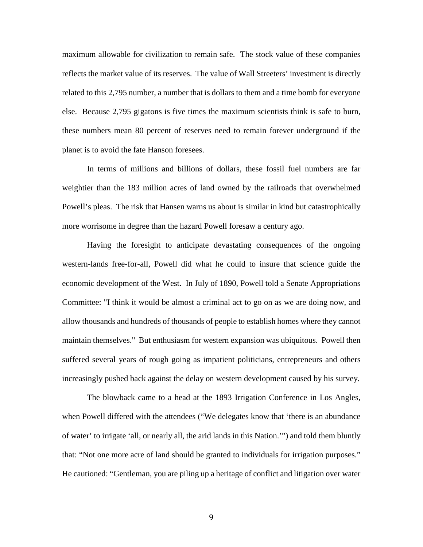maximum allowable for civilization to remain safe. The stock value of these companies reflects the market value of its reserves. The value of Wall Streeters' investment is directly related to this 2,795 number, a number that is dollars to them and a time bomb for everyone else. Because 2,795 gigatons is five times the maximum scientists think is safe to burn, these numbers mean 80 percent of reserves need to remain forever underground if the planet is to avoid the fate Hanson foresees.

 In terms of millions and billions of dollars, these fossil fuel numbers are far weightier than the 183 million acres of land owned by the railroads that overwhelmed Powell's pleas. The risk that Hansen warns us about is similar in kind but catastrophically more worrisome in degree than the hazard Powell foresaw a century ago.

 Having the foresight to anticipate devastating consequences of the ongoing western-lands free-for-all, Powell did what he could to insure that science guide the economic development of the West. In July of 1890, Powell told a Senate Appropriations Committee: "I think it would be almost a criminal act to go on as we are doing now, and allow thousands and hundreds of thousands of people to establish homes where they cannot maintain themselves." But enthusiasm for western expansion was ubiquitous. Powell then suffered several years of rough going as impatient politicians, entrepreneurs and others increasingly pushed back against the delay on western development caused by his survey.

 The blowback came to a head at the 1893 Irrigation Conference in Los Angles, when Powell differed with the attendees ("We delegates know that 'there is an abundance of water' to irrigate 'all, or nearly all, the arid lands in this Nation.'") and told them bluntly that: "Not one more acre of land should be granted to individuals for irrigation purposes." He cautioned: "Gentleman, you are piling up a heritage of conflict and litigation over water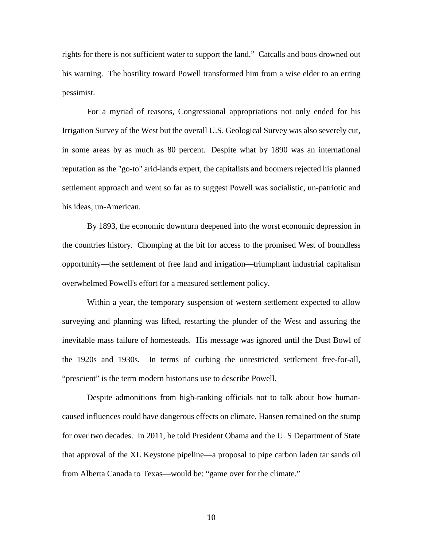rights for there is not sufficient water to support the land." Catcalls and boos drowned out his warning. The hostility toward Powell transformed him from a wise elder to an erring pessimist.

 For a myriad of reasons, Congressional appropriations not only ended for his Irrigation Survey of the West but the overall U.S. Geological Survey was also severely cut, in some areas by as much as 80 percent. Despite what by 1890 was an international reputation as the "go-to" arid-lands expert, the capitalists and boomers rejected his planned settlement approach and went so far as to suggest Powell was socialistic, un-patriotic and his ideas, un-American.

 By 1893, the economic downturn deepened into the worst economic depression in the countries history. Chomping at the bit for access to the promised West of boundless opportunity—the settlement of free land and irrigation—triumphant industrial capitalism overwhelmed Powell's effort for a measured settlement policy.

 Within a year, the temporary suspension of western settlement expected to allow surveying and planning was lifted, restarting the plunder of the West and assuring the inevitable mass failure of homesteads. His message was ignored until the Dust Bowl of the 1920s and 1930s. In terms of curbing the unrestricted settlement free-for-all, "prescient" is the term modern historians use to describe Powell.

 Despite admonitions from high-ranking officials not to talk about how humancaused influences could have dangerous effects on climate, Hansen remained on the stump for over two decades. In 2011, he told President Obama and the U. S Department of State that approval of the XL Keystone pipeline—a proposal to pipe carbon laden tar sands oil from Alberta Canada to Texas—would be: "game over for the climate."